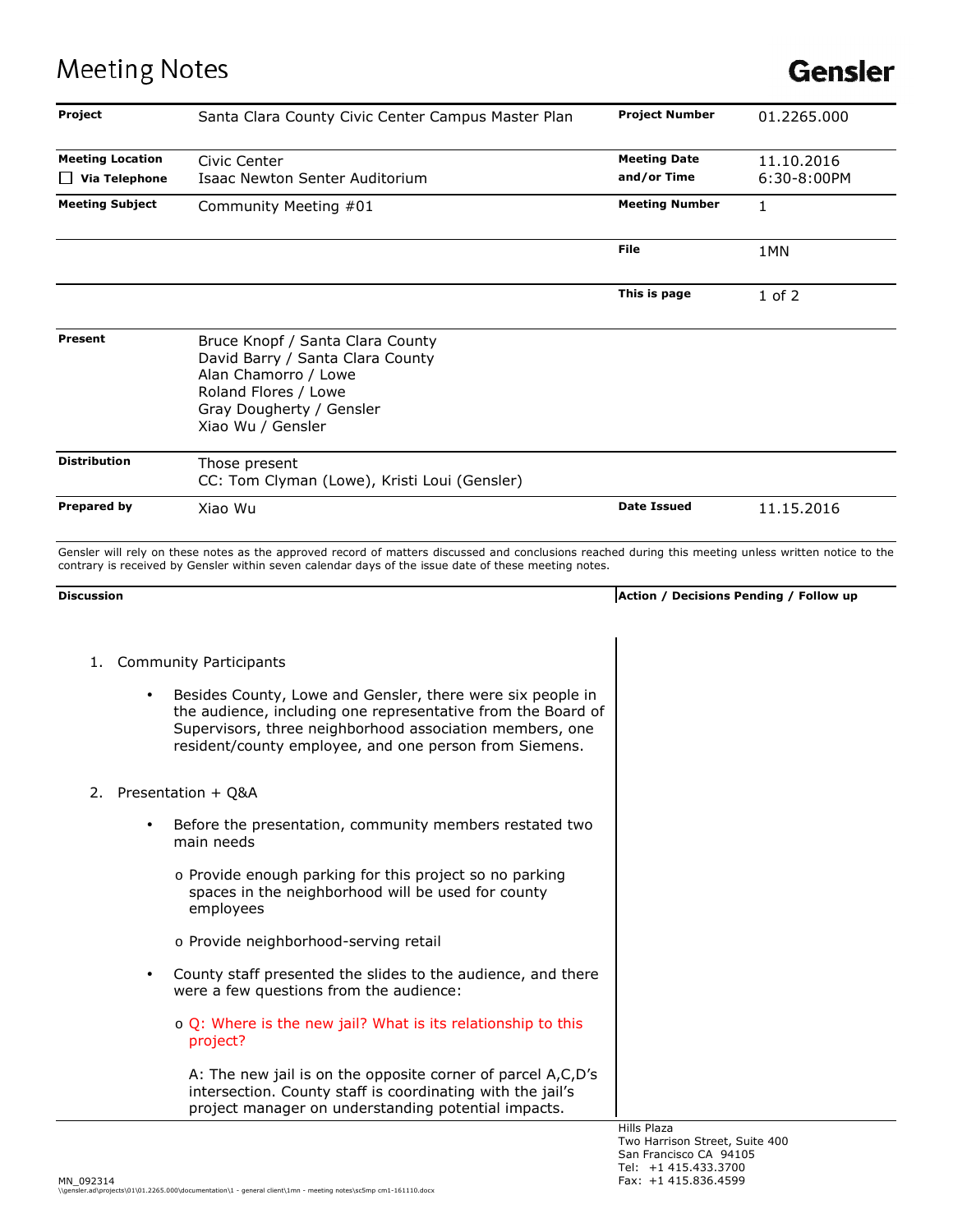## **Meeting Notes**

## **Gensler**

| Project                                         | Santa Clara County Civic Center Campus Master Plan                                                                                                                                                                                                                                | <b>Project Number</b>                         | 01.2265.000               |
|-------------------------------------------------|-----------------------------------------------------------------------------------------------------------------------------------------------------------------------------------------------------------------------------------------------------------------------------------|-----------------------------------------------|---------------------------|
| <b>Meeting Location</b><br>$\Box$ Via Telephone | Civic Center<br>Isaac Newton Senter Auditorium                                                                                                                                                                                                                                    | <b>Meeting Date</b><br>and/or Time            | 11.10.2016<br>6:30-8:00PM |
| <b>Meeting Subject</b>                          | Community Meeting #01                                                                                                                                                                                                                                                             | <b>Meeting Number</b>                         | 1                         |
|                                                 |                                                                                                                                                                                                                                                                                   | File                                          | 1MN                       |
|                                                 |                                                                                                                                                                                                                                                                                   | This is page                                  | $1$ of $2$                |
| Present                                         | Bruce Knopf / Santa Clara County<br>David Barry / Santa Clara County<br>Alan Chamorro / Lowe<br>Roland Flores / Lowe<br>Gray Dougherty / Gensler<br>Xiao Wu / Gensler                                                                                                             |                                               |                           |
| <b>Distribution</b>                             | Those present<br>CC: Tom Clyman (Lowe), Kristi Loui (Gensler)                                                                                                                                                                                                                     |                                               |                           |
| Prepared by                                     | Xiao Wu                                                                                                                                                                                                                                                                           | <b>Date Issued</b>                            | 11.15.2016                |
| <b>Discussion</b>                               | Gensler will rely on these notes as the approved record of matters discussed and conclusions reached during this meeting unless written notice to the<br>contrary is received by Gensler within seven calendar days of the issue date of these meeting notes.                     | Action / Decisions Pending / Follow up        |                           |
| 1.                                              | <b>Community Participants</b><br>Besides County, Lowe and Gensler, there were six people in<br>the audience, including one representative from the Board of<br>Supervisors, three neighborhood association members, one<br>resident/county employee, and one person from Siemens. |                                               |                           |
| 2.                                              | Presentation + O&A                                                                                                                                                                                                                                                                |                                               |                           |
| $\bullet$                                       | Before the presentation, community members restated two<br>main needs<br>o Provide enough parking for this project so no parking<br>spaces in the neighborhood will be used for county                                                                                            |                                               |                           |
|                                                 | employees<br>o Provide neighborhood-serving retail                                                                                                                                                                                                                                |                                               |                           |
|                                                 | County staff presented the slides to the audience, and there<br>were a few questions from the audience:                                                                                                                                                                           |                                               |                           |
|                                                 | o Q: Where is the new jail? What is its relationship to this<br>project?                                                                                                                                                                                                          |                                               |                           |
|                                                 | A: The new jail is on the opposite corner of parcel A,C,D's<br>intersection. County staff is coordinating with the jail's<br>project manager on understanding potential impacts.                                                                                                  |                                               |                           |
|                                                 |                                                                                                                                                                                                                                                                                   | Hills Plaza<br>Two Harrison Street, Suite 400 |                           |